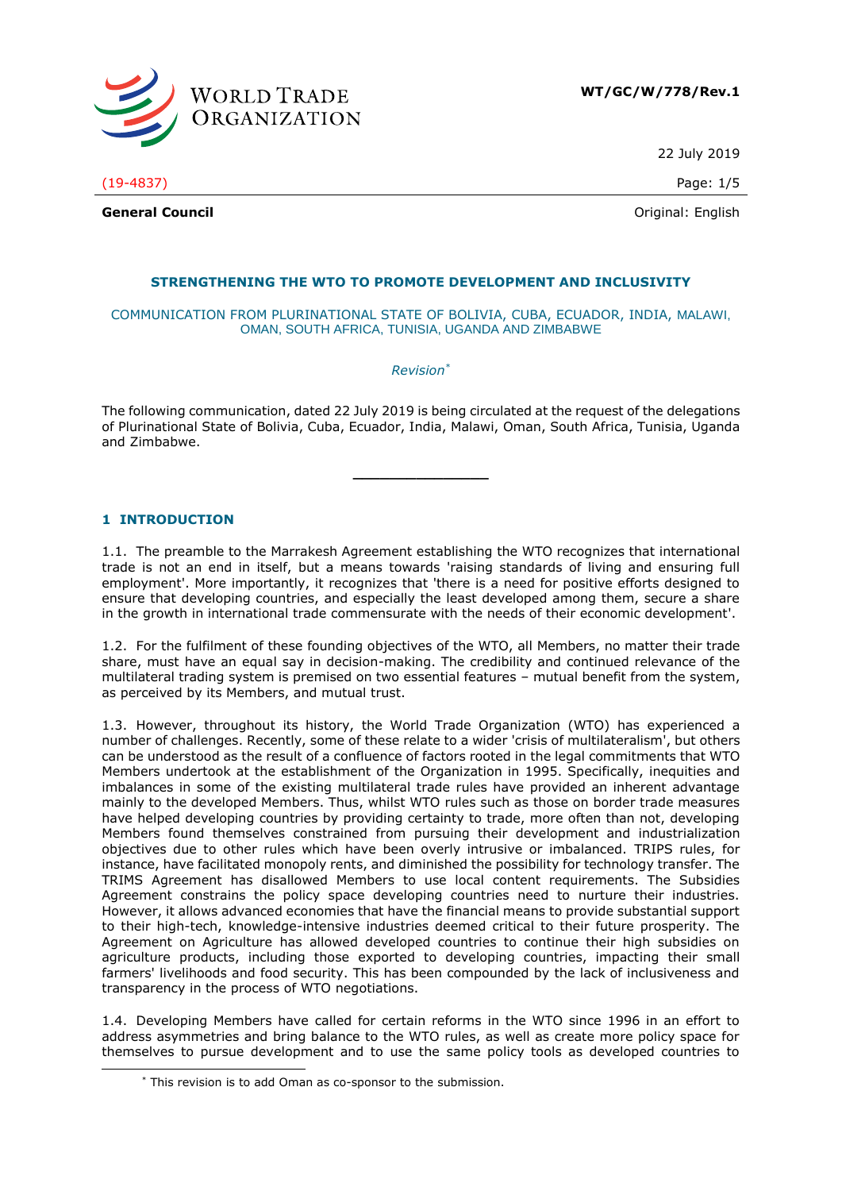

22 July 2019

(19-4837) Page: 1/5

**General Council General Council Council Council Council Council Council Council Council Council Council Council Council Council Council Council Council Council Council Council Counc** 

# **STRENGTHENING THE WTO TO PROMOTE DEVELOPMENT AND INCLUSIVITY**

#### COMMUNICATION FROM PLURINATIONAL STATE OF BOLIVIA, CUBA, ECUADOR, INDIA, MALAWI, OMAN, SOUTH AFRICA, TUNISIA, UGANDA AND ZIMBABWE

*Revision\**

The following communication, dated 22 July 2019 is being circulated at the request of the delegations of Plurinational State of Bolivia, Cuba, Ecuador, India, Malawi, Oman, South Africa, Tunisia, Uganda and Zimbabwe.

**\_\_\_\_\_\_\_\_\_\_\_\_\_\_\_**

## **1 INTRODUCTION**

-

1.1. The preamble to the Marrakesh Agreement establishing the WTO recognizes that international trade is not an end in itself, but a means towards 'raising standards of living and ensuring full employment'. More importantly, it recognizes that 'there is a need for positive efforts designed to ensure that developing countries, and especially the least developed among them, secure a share in the growth in international trade commensurate with the needs of their economic development'.

1.2. For the fulfilment of these founding objectives of the WTO, all Members, no matter their trade share, must have an equal say in decision-making. The credibility and continued relevance of the multilateral trading system is premised on two essential features – mutual benefit from the system, as perceived by its Members, and mutual trust.

1.3. However, throughout its history, the World Trade Organization (WTO) has experienced a number of challenges. Recently, some of these relate to a wider 'crisis of multilateralism', but others can be understood as the result of a confluence of factors rooted in the legal commitments that WTO Members undertook at the establishment of the Organization in 1995. Specifically, inequities and imbalances in some of the existing multilateral trade rules have provided an inherent advantage mainly to the developed Members. Thus, whilst WTO rules such as those on border trade measures have helped developing countries by providing certainty to trade, more often than not, developing Members found themselves constrained from pursuing their development and industrialization objectives due to other rules which have been overly intrusive or imbalanced. TRIPS rules, for instance, have facilitated monopoly rents, and diminished the possibility for technology transfer. The TRIMS Agreement has disallowed Members to use local content requirements. The Subsidies Agreement constrains the policy space developing countries need to nurture their industries. However, it allows advanced economies that have the financial means to provide substantial support to their high-tech, knowledge-intensive industries deemed critical to their future prosperity. The Agreement on Agriculture has allowed developed countries to continue their high subsidies on agriculture products, including those exported to developing countries, impacting their small farmers' livelihoods and food security. This has been compounded by the lack of inclusiveness and transparency in the process of WTO negotiations.

1.4. Developing Members have called for certain reforms in the WTO since 1996 in an effort to address asymmetries and bring balance to the WTO rules, as well as create more policy space for themselves to pursue development and to use the same policy tools as developed countries to

<sup>\*</sup> This revision is to add Oman as co-sponsor to the submission.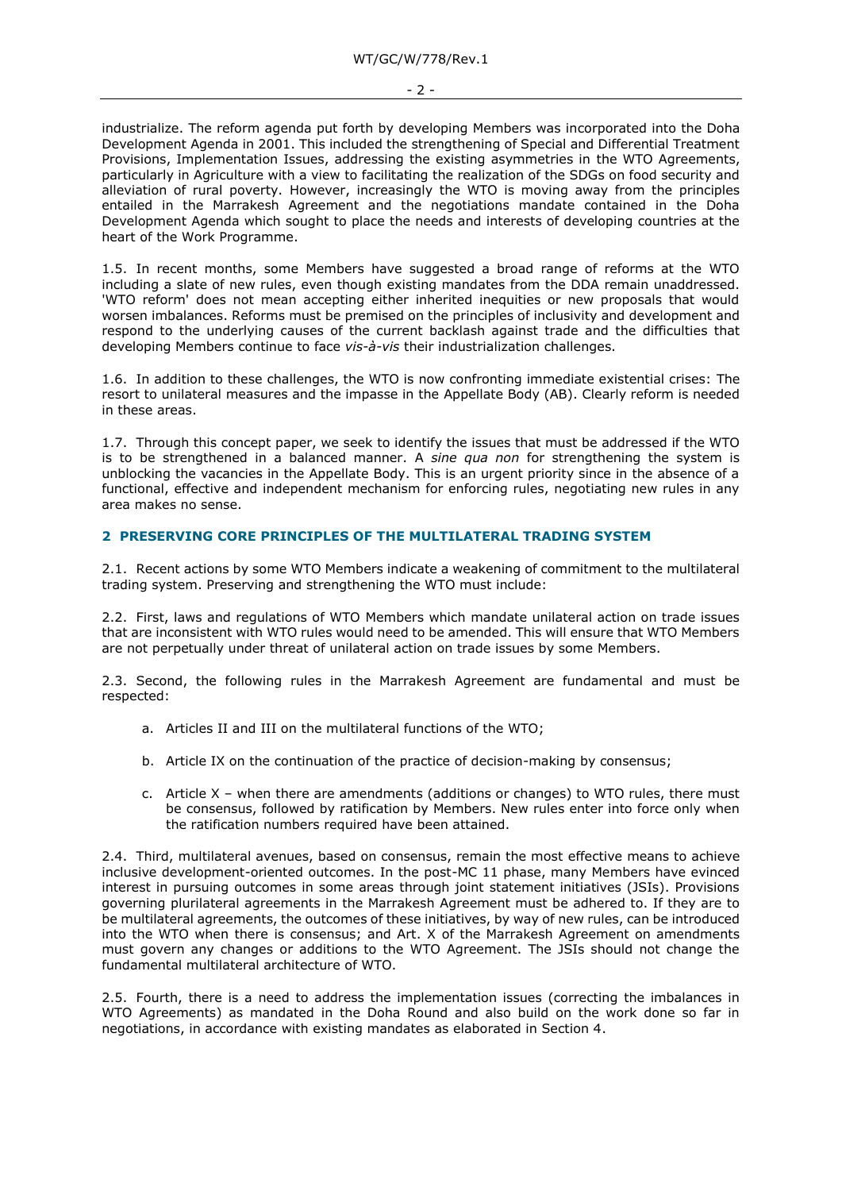industrialize. The reform agenda put forth by developing Members was incorporated into the Doha Development Agenda in 2001. This included the strengthening of Special and Differential Treatment Provisions, Implementation Issues, addressing the existing asymmetries in the WTO Agreements, particularly in Agriculture with a view to facilitating the realization of the SDGs on food security and alleviation of rural poverty. However, increasingly the WTO is moving away from the principles entailed in the Marrakesh Agreement and the negotiations mandate contained in the Doha Development Agenda which sought to place the needs and interests of developing countries at the heart of the Work Programme.

1.5. In recent months, some Members have suggested a broad range of reforms at the WTO including a slate of new rules, even though existing mandates from the DDA remain unaddressed. 'WTO reform' does not mean accepting either inherited inequities or new proposals that would worsen imbalances. Reforms must be premised on the principles of inclusivity and development and respond to the underlying causes of the current backlash against trade and the difficulties that developing Members continue to face *vis-à-vis* their industrialization challenges.

1.6. In addition to these challenges, the WTO is now confronting immediate existential crises: The resort to unilateral measures and the impasse in the Appellate Body (AB). Clearly reform is needed in these areas.

1.7. Through this concept paper, we seek to identify the issues that must be addressed if the WTO is to be strengthened in a balanced manner. A *sine qua non* for strengthening the system is unblocking the vacancies in the Appellate Body. This is an urgent priority since in the absence of a functional, effective and independent mechanism for enforcing rules, negotiating new rules in any area makes no sense.

## **2 PRESERVING CORE PRINCIPLES OF THE MULTILATERAL TRADING SYSTEM**

2.1. Recent actions by some WTO Members indicate a weakening of commitment to the multilateral trading system. Preserving and strengthening the WTO must include:

2.2. First, laws and regulations of WTO Members which mandate unilateral action on trade issues that are inconsistent with WTO rules would need to be amended. This will ensure that WTO Members are not perpetually under threat of unilateral action on trade issues by some Members.

2.3. Second, the following rules in the Marrakesh Agreement are fundamental and must be respected:

- a. Articles II and III on the multilateral functions of the WTO;
- b. Article IX on the continuation of the practice of decision-making by consensus;
- c. Article X when there are amendments (additions or changes) to WTO rules, there must be consensus, followed by ratification by Members. New rules enter into force only when the ratification numbers required have been attained.

2.4. Third, multilateral avenues, based on consensus, remain the most effective means to achieve inclusive development-oriented outcomes. In the post-MC 11 phase, many Members have evinced interest in pursuing outcomes in some areas through joint statement initiatives (JSIs). Provisions governing plurilateral agreements in the Marrakesh Agreement must be adhered to. If they are to be multilateral agreements, the outcomes of these initiatives, by way of new rules, can be introduced into the WTO when there is consensus; and Art. X of the Marrakesh Agreement on amendments must govern any changes or additions to the WTO Agreement. The JSIs should not change the fundamental multilateral architecture of WTO.

2.5. Fourth, there is a need to address the implementation issues (correcting the imbalances in WTO Agreements) as mandated in the Doha Round and also build on the work done so far in negotiations, in accordance with existing mandates as elaborated in Section 4.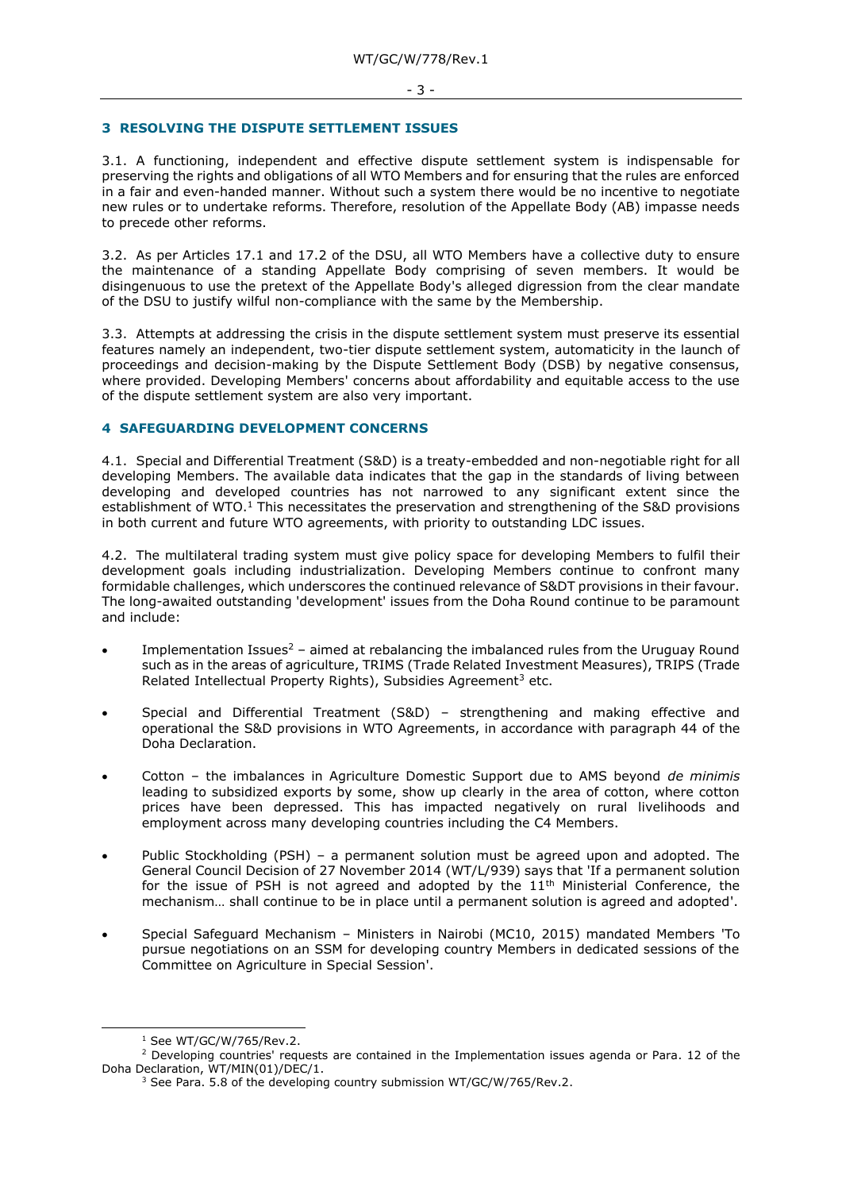#### **3 RESOLVING THE DISPUTE SETTLEMENT ISSUES**

3.1. A functioning, independent and effective dispute settlement system is indispensable for preserving the rights and obligations of all WTO Members and for ensuring that the rules are enforced in a fair and even-handed manner. Without such a system there would be no incentive to negotiate new rules or to undertake reforms. Therefore, resolution of the Appellate Body (AB) impasse needs to precede other reforms.

3.2. As per Articles 17.1 and 17.2 of the DSU, all WTO Members have a collective duty to ensure the maintenance of a standing Appellate Body comprising of seven members. It would be disingenuous to use the pretext of the Appellate Body's alleged digression from the clear mandate of the DSU to justify wilful non-compliance with the same by the Membership.

3.3. Attempts at addressing the crisis in the dispute settlement system must preserve its essential features namely an independent, two-tier dispute settlement system, automaticity in the launch of proceedings and decision-making by the Dispute Settlement Body (DSB) by negative consensus, where provided. Developing Members' concerns about affordability and equitable access to the use of the dispute settlement system are also very important.

### **4 SAFEGUARDING DEVELOPMENT CONCERNS**

4.1. Special and Differential Treatment (S&D) is a treaty-embedded and non-negotiable right for all developing Members. The available data indicates that the gap in the standards of living between developing and developed countries has not narrowed to any significant extent since the establishment of WTO. $1$  This necessitates the preservation and strengthening of the S&D provisions in both current and future WTO agreements, with priority to outstanding LDC issues.

4.2. The multilateral trading system must give policy space for developing Members to fulfil their development goals including industrialization. Developing Members continue to confront many formidable challenges, which underscores the continued relevance of S&DT provisions in their favour. The long-awaited outstanding 'development' issues from the Doha Round continue to be paramount and include:

- Implementation Issues<sup>2</sup> aimed at rebalancing the imbalanced rules from the Uruguay Round such as in the areas of agriculture, TRIMS (Trade Related Investment Measures), TRIPS (Trade Related Intellectual Property Rights), Subsidies Agreement<sup>3</sup> etc.
- Special and Differential Treatment (S&D) strengthening and making effective and operational the S&D provisions in WTO Agreements, in accordance with paragraph 44 of the Doha Declaration.
- Cotton the imbalances in Agriculture Domestic Support due to AMS beyond *de minimis* leading to subsidized exports by some, show up clearly in the area of cotton, where cotton prices have been depressed. This has impacted negatively on rural livelihoods and employment across many developing countries including the C4 Members.
- Public Stockholding (PSH) a permanent solution must be agreed upon and adopted. The General Council Decision of 27 November 2014 (WT/L/939) says that 'If a permanent solution for the issue of PSH is not agreed and adopted by the  $11<sup>th</sup>$  Ministerial Conference, the mechanism… shall continue to be in place until a permanent solution is agreed and adopted'.
- Special Safeguard Mechanism Ministers in Nairobi (MC10, 2015) mandated Members 'To pursue negotiations on an SSM for developing country Members in dedicated sessions of the Committee on Agriculture in Special Session'.

-

<sup>1</sup> See WT/GC/W/765/Rev.2.

 $2$  Developing countries' requests are contained in the Implementation issues agenda or Para. 12 of the Doha Declaration, WT/MIN(01)/DEC/1.

<sup>&</sup>lt;sup>3</sup> See Para. 5.8 of the developing country submission WT/GC/W/765/Rev.2.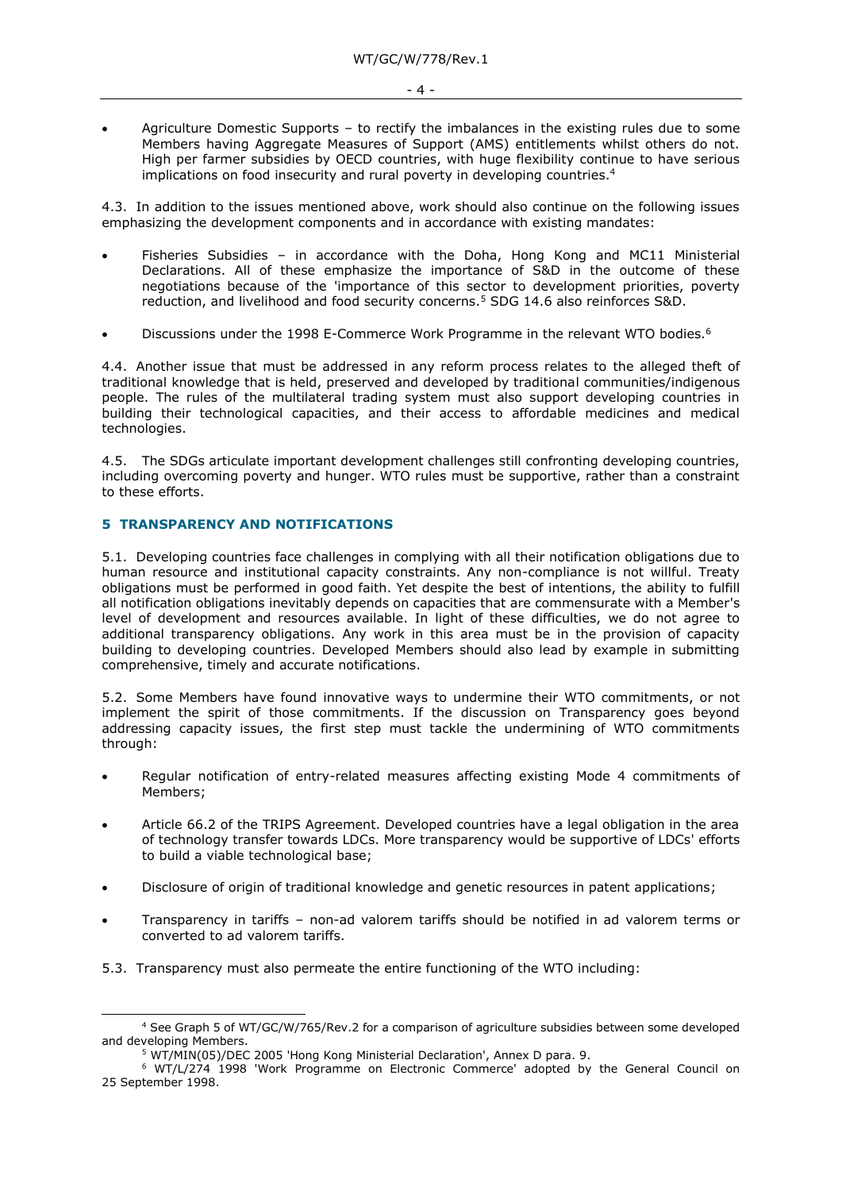$-4 -$ 

• Agriculture Domestic Supports – to rectify the imbalances in the existing rules due to some Members having Aggregate Measures of Support (AMS) entitlements whilst others do not. High per farmer subsidies by OECD countries, with huge flexibility continue to have serious implications on food insecurity and rural poverty in developing countries.<sup>4</sup>

4.3. In addition to the issues mentioned above, work should also continue on the following issues emphasizing the development components and in accordance with existing mandates:

- Fisheries Subsidies in accordance with the Doha, Hong Kong and MC11 Ministerial Declarations. All of these emphasize the importance of S&D in the outcome of these negotiations because of the 'importance of this sector to development priorities, poverty reduction, and livelihood and food security concerns.<sup>5</sup> SDG 14.6 also reinforces S&D.
- Discussions under the 1998 E-Commerce Work Programme in the relevant WTO bodies.<sup>6</sup>

4.4. Another issue that must be addressed in any reform process relates to the alleged theft of traditional knowledge that is held, preserved and developed by traditional communities/indigenous people. The rules of the multilateral trading system must also support developing countries in building their technological capacities, and their access to affordable medicines and medical technologies.

4.5. The SDGs articulate important development challenges still confronting developing countries, including overcoming poverty and hunger. WTO rules must be supportive, rather than a constraint to these efforts.

## **5 TRANSPARENCY AND NOTIFICATIONS**

-

5.1. Developing countries face challenges in complying with all their notification obligations due to human resource and institutional capacity constraints. Any non-compliance is not willful. Treaty obligations must be performed in good faith. Yet despite the best of intentions, the ability to fulfill all notification obligations inevitably depends on capacities that are commensurate with a Member's level of development and resources available. In light of these difficulties, we do not agree to additional transparency obligations. Any work in this area must be in the provision of capacity building to developing countries. Developed Members should also lead by example in submitting comprehensive, timely and accurate notifications.

5.2. Some Members have found innovative ways to undermine their WTO commitments, or not implement the spirit of those commitments. If the discussion on Transparency goes beyond addressing capacity issues, the first step must tackle the undermining of WTO commitments through:

- Regular notification of entry-related measures affecting existing Mode 4 commitments of Members;
- Article 66.2 of the TRIPS Agreement. Developed countries have a legal obligation in the area of technology transfer towards LDCs. More transparency would be supportive of LDCs' efforts to build a viable technological base;
- Disclosure of origin of traditional knowledge and genetic resources in patent applications;
- Transparency in tariffs non-ad valorem tariffs should be notified in ad valorem terms or converted to ad valorem tariffs.
- 5.3. Transparency must also permeate the entire functioning of the WTO including:

<sup>4</sup> See Graph 5 of WT/GC/W/765/Rev.2 for a comparison of agriculture subsidies between some developed and developing Members.

<sup>&</sup>lt;sup>5</sup> WT/MIN(05)/DEC 2005 'Hong Kong Ministerial Declaration', Annex D para. 9.

<sup>6</sup> WT/L/274 1998 'Work Programme on Electronic Commerce' adopted by the General Council on 25 September 1998.